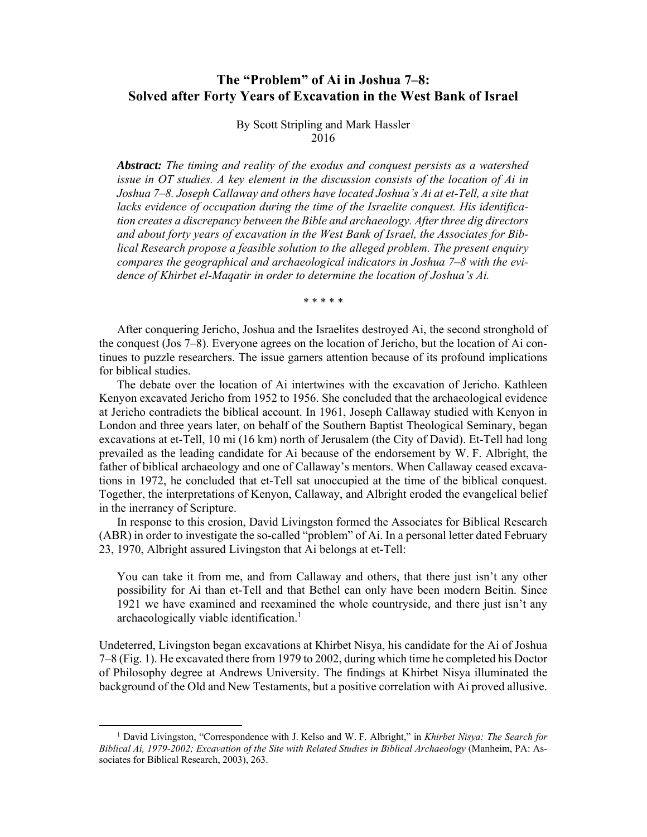# **The "Problem" of Ai in Joshua 7–8: Solved after Forty Years of Excavation in the West Bank of Israel**

By Scott Stripling and Mark Hassler 2016

*Abstract: The timing and reality of the exodus and conquest persists as a watershed issue in OT studies. A key element in the discussion consists of the location of Ai in Joshua 7–8. Joseph Callaway and others have located Joshua's Ai at et-Tell, a site that lacks evidence of occupation during the time of the Israelite conquest. His identification creates a discrepancy between the Bible and archaeology. After three dig directors and about forty years of excavation in the West Bank of Israel, the Associates for Biblical Research propose a feasible solution to the alleged problem. The present enquiry compares the geographical and archaeological indicators in Joshua 7–8 with the evidence of Khirbet el-Maqatir in order to determine the location of Joshua's Ai.* 

\* \* \* \* \*

After conquering Jericho, Joshua and the Israelites destroyed Ai, the second stronghold of the conquest (Jos 7–8). Everyone agrees on the location of Jericho, but the location of Ai continues to puzzle researchers. The issue garners attention because of its profound implications for biblical studies.

The debate over the location of Ai intertwines with the excavation of Jericho. Kathleen Kenyon excavated Jericho from 1952 to 1956. She concluded that the archaeological evidence at Jericho contradicts the biblical account. In 1961, Joseph Callaway studied with Kenyon in London and three years later, on behalf of the Southern Baptist Theological Seminary, began excavations at et-Tell, 10 mi (16 km) north of Jerusalem (the City of David). Et-Tell had long prevailed as the leading candidate for Ai because of the endorsement by W. F. Albright, the father of biblical archaeology and one of Callaway's mentors. When Callaway ceased excavations in 1972, he concluded that et-Tell sat unoccupied at the time of the biblical conquest. Together, the interpretations of Kenyon, Callaway, and Albright eroded the evangelical belief in the inerrancy of Scripture.

In response to this erosion, David Livingston formed the Associates for Biblical Research (ABR) in order to investigate the so-called "problem" of Ai. In a personal letter dated February 23, 1970, Albright assured Livingston that Ai belongs at et-Tell:

You can take it from me, and from Callaway and others, that there just isn't any other possibility for Ai than et-Tell and that Bethel can only have been modern Beitin. Since 1921 we have examined and reexamined the whole countryside, and there just isn't any archaeologically viable identification.<sup>1</sup>

Undeterred, Livingston began excavations at Khirbet Nisya, his candidate for the Ai of Joshua 7–8 (Fig. 1). He excavated there from 1979 to 2002, during which time he completed his Doctor of Philosophy degree at Andrews University. The findings at Khirbet Nisya illuminated the background of the Old and New Testaments, but a positive correlation with Ai proved allusive.

<sup>&</sup>lt;sup>1</sup> David Livingston, "Correspondence with J. Kelso and W. F. Albright," in *Khirbet Nisya: The Search for Biblical Ai, 1979-2002; Excavation of the Site with Related Studies in Biblical Archaeology* (Manheim, PA: Associates for Biblical Research, 2003), 263.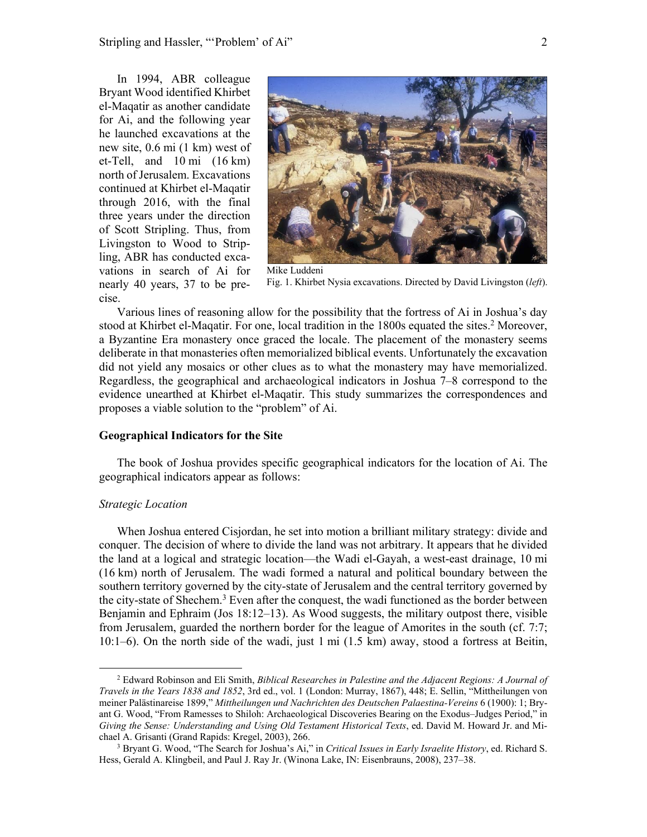In 1994, ABR colleague Bryant Wood identified Khirbet el-Maqatir as another candidate for Ai, and the following year he launched excavations at the new site, 0.6 mi (1 km) west of et-Tell, and 10 mi (16 km) north of Jerusalem. Excavations continued at Khirbet el-Maqatir through 2016, with the final three years under the direction of Scott Stripling. Thus, from Livingston to Wood to Stripling, ABR has conducted excavations in search of Ai for nearly 40 years, 37 to be precise.



Fig. 1. Khirbet Nysia excavations. Directed by David Livingston (*left*).

Various lines of reasoning allow for the possibility that the fortress of Ai in Joshua's day stood at Khirbet el-Maqatir. For one, local tradition in the 1800s equated the sites.<sup>2</sup> Moreover, a Byzantine Era monastery once graced the locale. The placement of the monastery seems deliberate in that monasteries often memorialized biblical events. Unfortunately the excavation did not yield any mosaics or other clues as to what the monastery may have memorialized. Regardless, the geographical and archaeological indicators in Joshua 7–8 correspond to the evidence unearthed at Khirbet el-Maqatir. This study summarizes the correspondences and proposes a viable solution to the "problem" of Ai.

#### **Geographical Indicators for the Site**

The book of Joshua provides specific geographical indicators for the location of Ai. The geographical indicators appear as follows:

## *Strategic Location*

When Joshua entered Cisjordan, he set into motion a brilliant military strategy: divide and conquer. The decision of where to divide the land was not arbitrary. It appears that he divided the land at a logical and strategic location—the Wadi el-Gayah, a west-east drainage, 10 mi (16 km) north of Jerusalem. The wadi formed a natural and political boundary between the southern territory governed by the city-state of Jerusalem and the central territory governed by the city-state of Shechem.<sup>3</sup> Even after the conquest, the wadi functioned as the border between Benjamin and Ephraim (Jos 18:12–13). As Wood suggests, the military outpost there, visible from Jerusalem, guarded the northern border for the league of Amorites in the south (cf. 7:7; 10:1–6). On the north side of the wadi, just 1 mi (1.5 km) away, stood a fortress at Beitin,

<sup>2</sup> Edward Robinson and Eli Smith, *Biblical Researches in Palestine and the Adjacent Regions: A Journal of Travels in the Years 1838 and 1852*, 3rd ed., vol. 1 (London: Murray, 1867), 448; E. Sellin, "Mittheilungen von meiner Palästinareise 1899," *Mittheilungen und Nachrichten des Deutschen Palaestina-Vereins* 6 (1900): 1; Bryant G. Wood, "From Ramesses to Shiloh: Archaeological Discoveries Bearing on the Exodus–Judges Period," in *Giving the Sense: Understanding and Using Old Testament Historical Texts*, ed. David M. Howard Jr. and Michael A. Grisanti (Grand Rapids: Kregel, 2003), 266. 3

Bryant G. Wood, "The Search for Joshua's Ai," in *Critical Issues in Early Israelite History*, ed. Richard S. Hess, Gerald A. Klingbeil, and Paul J. Ray Jr. (Winona Lake, IN: Eisenbrauns, 2008), 237–38.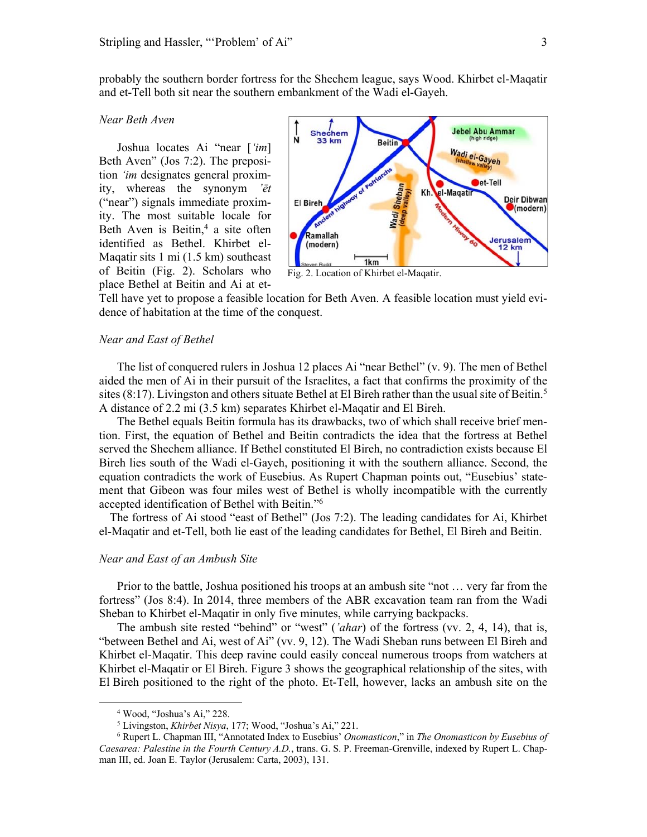probably the southern border fortress for the Shechem league, says Wood. Khirbet el-Maqatir and et-Tell both sit near the southern embankment of the Wadi el-Gayeh.

#### *Near Beth Aven*

Joshua locates Ai "near [*'im*] Beth Aven" (Jos 7:2). The preposition *'im* designates general proximity, whereas the synonym *'ēt* ("near") signals immediate proximity. The most suitable locale for Beth Aven is Beitin, $4$  a site often identified as Bethel. Khirbet el-Maqatir sits 1 mi (1.5 km) southeast of Beitin (Fig. 2). Scholars who place Bethel at Beitin and Ai at et-



Tell have yet to propose a feasible location for Beth Aven. A feasible location must yield evidence of habitation at the time of the conquest.

#### *Near and East of Bethel*

The list of conquered rulers in Joshua 12 places Ai "near Bethel" (v. 9). The men of Bethel aided the men of Ai in their pursuit of the Israelites, a fact that confirms the proximity of the sites  $(8:17)$ . Livingston and others situate Bethel at El Bireh rather than the usual site of Beitin.<sup>5</sup> A distance of 2.2 mi (3.5 km) separates Khirbet el-Maqatir and El Bireh.

The Bethel equals Beitin formula has its drawbacks, two of which shall receive brief mention. First, the equation of Bethel and Beitin contradicts the idea that the fortress at Bethel served the Shechem alliance. If Bethel constituted El Bireh, no contradiction exists because El Bireh lies south of the Wadi el-Gayeh, positioning it with the southern alliance. Second, the equation contradicts the work of Eusebius. As Rupert Chapman points out, "Eusebius' statement that Gibeon was four miles west of Bethel is wholly incompatible with the currently accepted identification of Bethel with Beitin."6

The fortress of Ai stood "east of Bethel" (Jos 7:2). The leading candidates for Ai, Khirbet el-Maqatir and et-Tell, both lie east of the leading candidates for Bethel, El Bireh and Beitin.

#### *Near and East of an Ambush Site*

Prior to the battle, Joshua positioned his troops at an ambush site "not … very far from the fortress" (Jos 8:4). In 2014, three members of the ABR excavation team ran from the Wadi Sheban to Khirbet el-Maqatir in only five minutes, while carrying backpacks.

The ambush site rested "behind" or "west" (*'ahar*) of the fortress (vv. 2, 4, 14), that is, "between Bethel and Ai, west of Ai" (vv. 9, 12). The Wadi Sheban runs between El Bireh and Khirbet el-Maqatir. This deep ravine could easily conceal numerous troops from watchers at Khirbet el-Maqatir or El Bireh. Figure 3 shows the geographical relationship of the sites, with El Bireh positioned to the right of the photo. Et-Tell, however, lacks an ambush site on the

 4 Wood, "Joshua's Ai," 228.

<sup>&</sup>lt;sup>5</sup> Livingston, *Khirbet Nisya*, 177; Wood, "Joshua's Ai," 221.<br><sup>6</sup> Rupert L. Chapman III. "Appotated Index to Eusebius' *One* 

Rupert L. Chapman III, "Annotated Index to Eusebius' *Onomasticon*," in *The Onomasticon by Eusebius of Caesarea: Palestine in the Fourth Century A.D.*, trans. G. S. P. Freeman-Grenville, indexed by Rupert L. Chapman III, ed. Joan E. Taylor (Jerusalem: Carta, 2003), 131.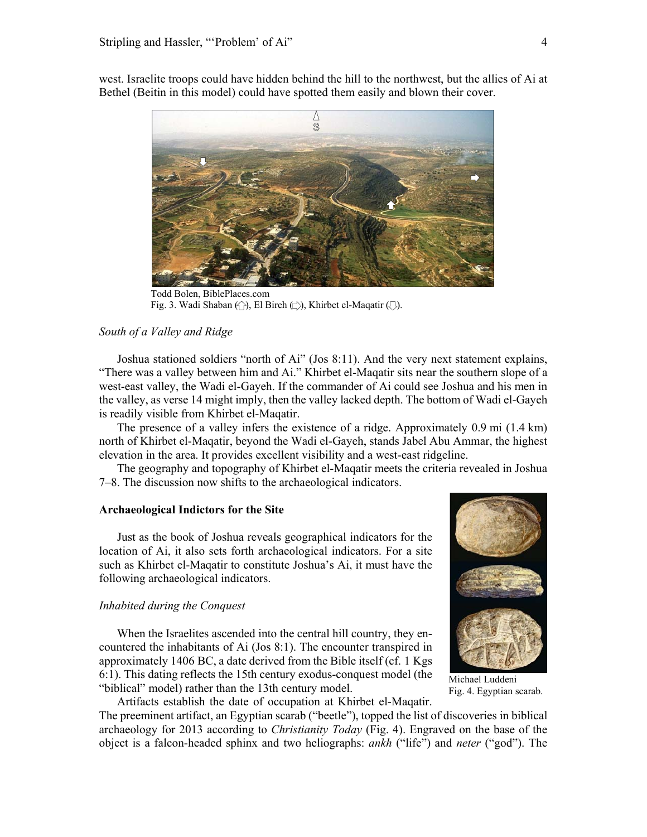

west. Israelite troops could have hidden behind the hill to the northwest, but the allies of Ai at Bethel (Beitin in this model) could have spotted them easily and blown their cover.

Todd Bolen, BiblePlaces.com Fig. 3. Wadi Shaban  $\langle \hat{ } \rangle$ ), El Bireh  $\langle \hat{ } \rangle$ ), Khirbet el-Maqatir  $\langle \hat{ } \rangle$ ).

# *South of a Valley and Ridge*

Joshua stationed soldiers "north of Ai" (Jos 8:11). And the very next statement explains, "There was a valley between him and Ai." Khirbet el-Maqatir sits near the southern slope of a west-east valley, the Wadi el-Gayeh. If the commander of Ai could see Joshua and his men in the valley, as verse 14 might imply, then the valley lacked depth. The bottom of Wadi el-Gayeh is readily visible from Khirbet el-Maqatir.

The presence of a valley infers the existence of a ridge. Approximately 0.9 mi (1.4 km) north of Khirbet el-Maqatir, beyond the Wadi el-Gayeh, stands Jabel Abu Ammar, the highest elevation in the area. It provides excellent visibility and a west-east ridgeline.

The geography and topography of Khirbet el-Maqatir meets the criteria revealed in Joshua 7–8. The discussion now shifts to the archaeological indicators.

### **Archaeological Indictors for the Site**

Just as the book of Joshua reveals geographical indicators for the location of Ai, it also sets forth archaeological indicators. For a site such as Khirbet el-Maqatir to constitute Joshua's Ai, it must have the following archaeological indicators.

#### *Inhabited during the Conquest*

When the Israelites ascended into the central hill country, they encountered the inhabitants of Ai (Jos 8:1). The encounter transpired in approximately 1406 BC, a date derived from the Bible itself (cf. 1 Kgs 6:1). This dating reflects the 15th century exodus-conquest model (the "biblical" model) rather than the 13th century model.

Artifacts establish the date of occupation at Khirbet el-Maqatir. The preeminent artifact, an Egyptian scarab ("beetle"), topped the list of discoveries in biblical archaeology for 2013 according to *Christianity Today* (Fig. 4). Engraved on the base of the object is a falcon-headed sphinx and two heliographs: *ankh* ("life") and *neter* ("god"). The



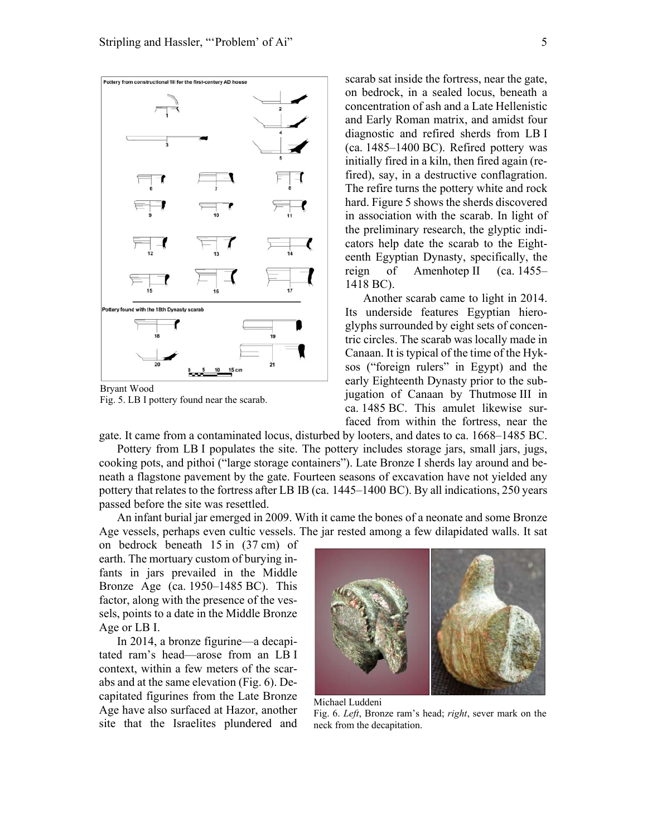

Bryant Wood Fig. 5. LB I pottery found near the scarab.

scarab sat inside the fortress, near the gate, on bedrock, in a sealed locus, beneath a concentration of ash and a Late Hellenistic and Early Roman matrix, and amidst four diagnostic and refired sherds from LB I (ca. 1485–1400 BC). Refired pottery was initially fired in a kiln, then fired again (refired), say, in a destructive conflagration. The refire turns the pottery white and rock hard. Figure 5 shows the sherds discovered in association with the scarab. In light of the preliminary research, the glyptic indicators help date the scarab to the Eighteenth Egyptian Dynasty, specifically, the reign of Amenhotep II (ca. 1455– 1418 BC).

Another scarab came to light in 2014. Its underside features Egyptian hieroglyphs surrounded by eight sets of concentric circles. The scarab was locally made in Canaan. It is typical of the time of the Hyksos ("foreign rulers" in Egypt) and the early Eighteenth Dynasty prior to the subjugation of Canaan by Thutmose III in ca. 1485 BC. This amulet likewise surfaced from within the fortress, near the

gate. It came from a contaminated locus, disturbed by looters, and dates to ca. 1668–1485 BC.

Pottery from LB I populates the site. The pottery includes storage jars, small jars, jugs, cooking pots, and pithoi ("large storage containers"). Late Bronze I sherds lay around and beneath a flagstone pavement by the gate. Fourteen seasons of excavation have not yielded any pottery that relates to the fortress after LB IB (ca. 1445–1400 BC). By all indications, 250 years passed before the site was resettled.

An infant burial jar emerged in 2009. With it came the bones of a neonate and some Bronze Age vessels, perhaps even cultic vessels. The jar rested among a few dilapidated walls. It sat

on bedrock beneath 15 in (37 cm) of earth. The mortuary custom of burying infants in jars prevailed in the Middle Bronze Age (ca. 1950–1485 BC). This factor, along with the presence of the vessels, points to a date in the Middle Bronze Age or LB I.

In 2014, a bronze figurine—a decapitated ram's head—arose from an LB I context, within a few meters of the scarabs and at the same elevation (Fig. 6). Decapitated figurines from the Late Bronze Age have also surfaced at Hazor, another site that the Israelites plundered and



Michael Luddeni Fig. 6. *Left*, Bronze ram's head; *right*, sever mark on the neck from the decapitation.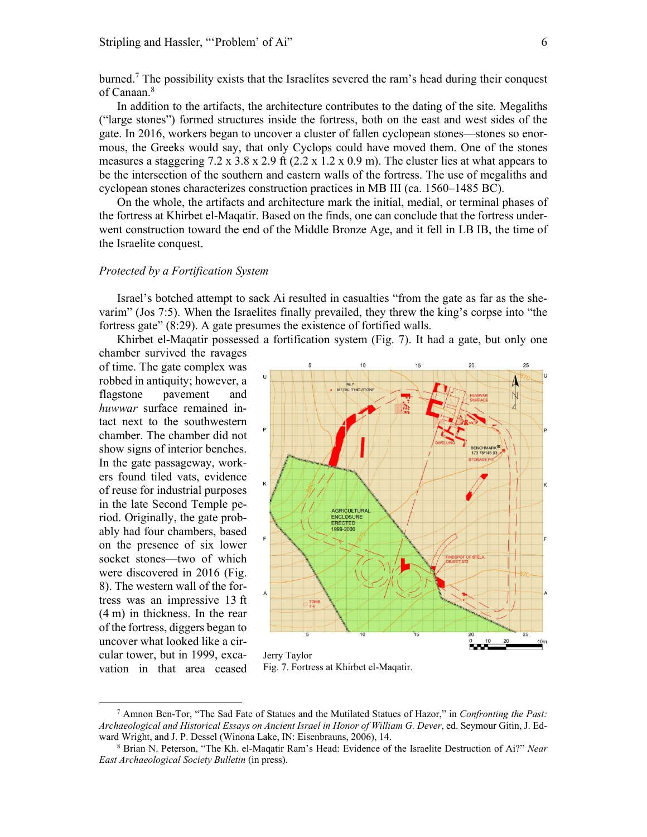burned.7 The possibility exists that the Israelites severed the ram's head during their conquest of Canaan.<sup>8</sup>

In addition to the artifacts, the architecture contributes to the dating of the site. Megaliths ("large stones") formed structures inside the fortress, both on the east and west sides of the gate. In 2016, workers began to uncover a cluster of fallen cyclopean stones—stones so enormous, the Greeks would say, that only Cyclops could have moved them. One of the stones measures a staggering  $7.2 \times 3.8 \times 2.9$  ft  $(2.2 \times 1.2 \times 0.9 \text{ m})$ . The cluster lies at what appears to be the intersection of the southern and eastern walls of the fortress. The use of megaliths and cyclopean stones characterizes construction practices in MB III (ca. 1560–1485 BC).

On the whole, the artifacts and architecture mark the initial, medial, or terminal phases of the fortress at Khirbet el-Maqatir. Based on the finds, one can conclude that the fortress underwent construction toward the end of the Middle Bronze Age, and it fell in LB IB, the time of the Israelite conquest.

#### *Protected by a Fortification System*

Israel's botched attempt to sack Ai resulted in casualties "from the gate as far as the shevarim" (Jos 7:5). When the Israelites finally prevailed, they threw the king's corpse into "the fortress gate" (8:29). A gate presumes the existence of fortified walls.

Khirbet el-Maqatir possessed a fortification system (Fig. 7). It had a gate, but only one

chamber survived the ravages of time. The gate complex was robbed in antiquity; however, a flagstone pavement and *huwwar* surface remained intact next to the southwestern chamber. The chamber did not show signs of interior benches. In the gate passageway, workers found tiled vats, evidence of reuse for industrial purposes in the late Second Temple period. Originally, the gate probably had four chambers, based on the presence of six lower socket stones—two of which were discovered in 2016 (Fig. 8). The western wall of the fortress was an impressive 13 ft (4 m) in thickness. In the rear of the fortress, diggers began to uncover what looked like a circular tower, but in 1999, excavation in that area ceased



Fig. 7. Fortress at Khirbet el-Maqatir.

<sup>7</sup> Amnon Ben-Tor, "The Sad Fate of Statues and the Mutilated Statues of Hazor," in *Confronting the Past: Archaeological and Historical Essays on Ancient Israel in Honor of William G. Dever*, ed. Seymour Gitin, J. Edward Wright, and J. P. Dessel (Winona Lake, IN: Eisenbrauns, 2006), 14.

Brian N. Peterson, "The Kh. el-Maqatir Ram's Head: Evidence of the Israelite Destruction of Ai?" *Near East Archaeological Society Bulletin* (in press).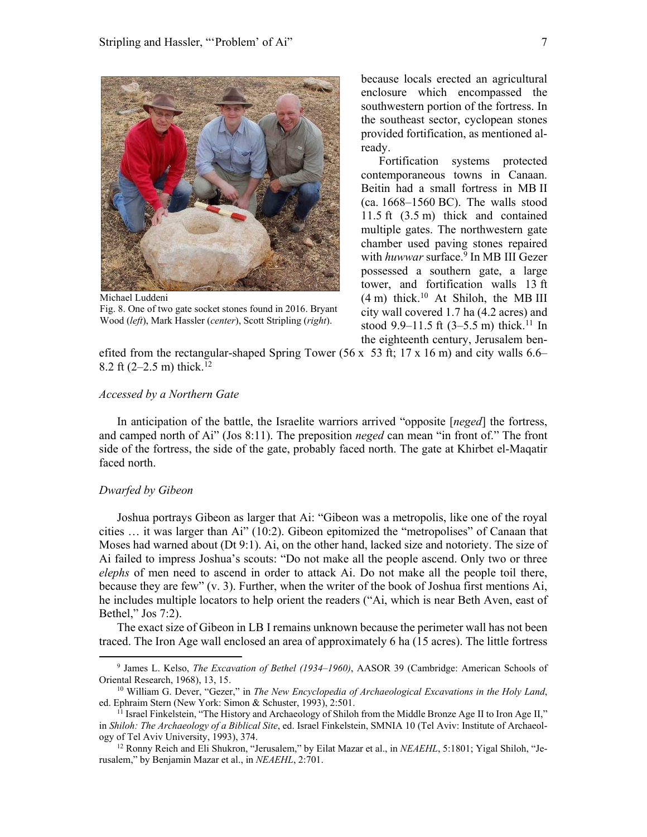

Michael Luddeni Fig. 8. One of two gate socket stones found in 2016. Bryant Wood (*left*), Mark Hassler (*center*), Scott Stripling (*right*).

because locals erected an agricultural enclosure which encompassed the southwestern portion of the fortress. In the southeast sector, cyclopean stones provided fortification, as mentioned already.

Fortification systems protected contemporaneous towns in Canaan. Beitin had a small fortress in MB II (ca. 1668–1560 BC). The walls stood 11.5 ft (3.5 m) thick and contained multiple gates. The northwestern gate chamber used paving stones repaired with *huwwar* surface.<sup>9</sup> In MB III Gezer possessed a southern gate, a large tower, and fortification walls 13 ft  $(4 \text{ m})$  thick.<sup>10</sup> At Shiloh, the MB III city wall covered 1.7 ha (4.2 acres) and stood 9.9–11.5 ft  $(3-5.5 \text{ m})$  thick.<sup>11</sup> In the eighteenth century, Jerusalem ben-

efited from the rectangular-shaped Spring Tower (56 x 53 ft; 17 x 16 m) and city walls  $6.6-$ 8.2 ft  $(2-2.5 \text{ m})$  thick.<sup>12</sup>

### *Accessed by a Northern Gate*

In anticipation of the battle, the Israelite warriors arrived "opposite [*neged*] the fortress, and camped north of Ai" (Jos 8:11). The preposition *neged* can mean "in front of." The front side of the fortress, the side of the gate, probably faced north. The gate at Khirbet el-Maqatir faced north.

## *Dwarfed by Gibeon*

Joshua portrays Gibeon as larger that Ai: "Gibeon was a metropolis, like one of the royal cities … it was larger than Ai" (10:2). Gibeon epitomized the "metropolises" of Canaan that Moses had warned about (Dt 9:1). Ai, on the other hand, lacked size and notoriety. The size of Ai failed to impress Joshua's scouts: "Do not make all the people ascend. Only two or three *elephs* of men need to ascend in order to attack Ai. Do not make all the people toil there, because they are few" (v. 3). Further, when the writer of the book of Joshua first mentions Ai, he includes multiple locators to help orient the readers ("Ai, which is near Beth Aven, east of Bethel," Jos 7:2).

The exact size of Gibeon in LB I remains unknown because the perimeter wall has not been traced. The Iron Age wall enclosed an area of approximately 6 ha (15 acres). The little fortress

<sup>9</sup> James L. Kelso, *The Excavation of Bethel (1934–1960)*, AASOR 39 (Cambridge: American Schools of Oriental Research, 1968), 13, 15.<br><sup>10</sup> William G. Dever, "Gezer," in *The New Encyclopedia of Archaeological Excavations in the Holy Land*,

ed. Ephraim Stern (New York: Simon & Schuster, 1993), 2:501.<br><sup>11</sup> Israel Finkelstein, "The History and Archaeology of Shiloh from the Middle Bronze Age II to Iron Age II,"

in *Shiloh: The Archaeology of a Biblical Site*, ed. Israel Finkelstein, SMNIA 10 (Tel Aviv: Institute of Archaeology of Tel Aviv University, 1993), 374.<br><sup>12</sup> Ronny Reich and Eli Shukron, "Jerusalem," by Eilat Mazar et al., in *NEAEHL*, 5:1801; Yigal Shiloh, "Je-

rusalem," by Benjamin Mazar et al., in *NEAEHL*, 2:701.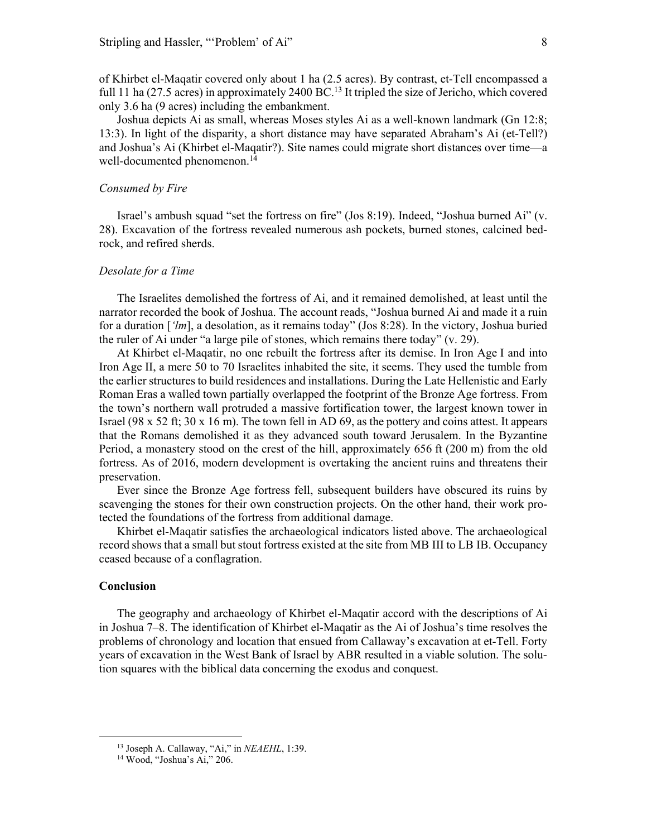of Khirbet el-Maqatir covered only about 1 ha (2.5 acres). By contrast, et-Tell encompassed a full 11 ha (27.5 acres) in approximately 2400 BC.<sup>13</sup> It tripled the size of Jericho, which covered only 3.6 ha (9 acres) including the embankment.

Joshua depicts Ai as small, whereas Moses styles Ai as a well-known landmark (Gn 12:8; 13:3). In light of the disparity, a short distance may have separated Abraham's Ai (et-Tell?) and Joshua's Ai (Khirbet el-Maqatir?). Site names could migrate short distances over time—a well-documented phenomenon.<sup>14</sup>

#### *Consumed by Fire*

Israel's ambush squad "set the fortress on fire" (Jos 8:19). Indeed, "Joshua burned Ai" (v. 28). Excavation of the fortress revealed numerous ash pockets, burned stones, calcined bedrock, and refired sherds.

#### *Desolate for a Time*

The Israelites demolished the fortress of Ai, and it remained demolished, at least until the narrator recorded the book of Joshua. The account reads, "Joshua burned Ai and made it a ruin for a duration [*'lm*], a desolation, as it remains today" (Jos 8:28). In the victory, Joshua buried the ruler of Ai under "a large pile of stones, which remains there today" (v. 29).

At Khirbet el-Maqatir, no one rebuilt the fortress after its demise. In Iron Age I and into Iron Age II, a mere 50 to 70 Israelites inhabited the site, it seems. They used the tumble from the earlier structures to build residences and installations. During the Late Hellenistic and Early Roman Eras a walled town partially overlapped the footprint of the Bronze Age fortress. From the town's northern wall protruded a massive fortification tower, the largest known tower in Israel (98 x 52 ft; 30 x 16 m). The town fell in AD 69, as the pottery and coins attest. It appears that the Romans demolished it as they advanced south toward Jerusalem. In the Byzantine Period, a monastery stood on the crest of the hill, approximately 656 ft (200 m) from the old fortress. As of 2016, modern development is overtaking the ancient ruins and threatens their preservation.

Ever since the Bronze Age fortress fell, subsequent builders have obscured its ruins by scavenging the stones for their own construction projects. On the other hand, their work protected the foundations of the fortress from additional damage.

Khirbet el-Maqatir satisfies the archaeological indicators listed above. The archaeological record shows that a small but stout fortress existed at the site from MB III to LB IB. Occupancy ceased because of a conflagration.

# **Conclusion**

The geography and archaeology of Khirbet el-Maqatir accord with the descriptions of Ai in Joshua 7–8. The identification of Khirbet el-Maqatir as the Ai of Joshua's time resolves the problems of chronology and location that ensued from Callaway's excavation at et-Tell. Forty years of excavation in the West Bank of Israel by ABR resulted in a viable solution. The solution squares with the biblical data concerning the exodus and conquest.

<sup>&</sup>lt;sup>13</sup> Joseph A. Callaway, "Ai," in *NEAEHL*, 1:39.<br><sup>14</sup> Wood, "Joshua's Ai," 206.